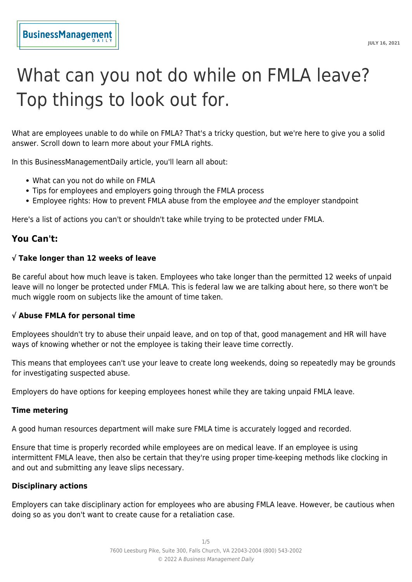# What can you not do while on FMLA leave? Top things to look out for.

What are employees unable to do while on FMLA? That's a tricky question, but we're here to give you a solid answer. Scroll down to learn more about your FMLA rights.

In this BusinessManagementDaily article, you'll learn all about:

- What can you not do while on FMLA
- Tips for employees and employers going through the FMLA process
- Employee rights: How to prevent FMLA abuse from the employee and the employer standpoint

Here's a list of actions you can't or shouldn't take while trying to be protected under FMLA.

# **You Can't:**

## **√ Take longer than 12 weeks of leave**

Be careful about how much leave is taken. Employees who take longer than the permitted 12 weeks of unpaid leave will no longer be protected under FMLA. This is federal law we are talking about here, so there won't be much wiggle room on subjects like the amount of time taken.

# **√ Abuse FMLA for personal time**

Employees shouldn't try to abuse their unpaid leave, and on top of that, good management and HR will have ways of knowing whether or not the employee is taking their leave time correctly.

This means that employees can't use your leave to create long weekends, doing so repeatedly may be grounds for investigating suspected abuse.

Employers do have options for keeping employees honest while they are taking unpaid FMLA leave.

#### **Time metering**

A good human resources department will make sure FMLA time is accurately logged and recorded.

Ensure that time is properly recorded while employees are on medical leave. If an employee is using intermittent FMLA leave, then also be certain that they're using proper time-keeping methods like clocking in and out and submitting any leave slips necessary.

#### **Disciplinary actions**

Employers can take disciplinary action for employees who are abusing FMLA leave. However, be cautious when doing so as you don't want to create cause for a retaliation case.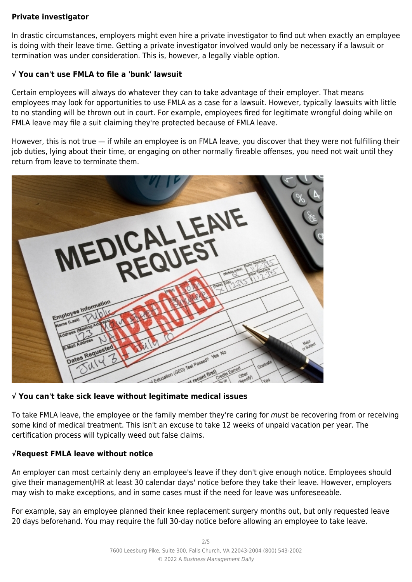# **Private investigator**

In drastic circumstances, employers might even hire a private investigator to find out when exactly an employee is doing with their leave time. Getting a private investigator involved would only be necessary if a lawsuit or termination was under consideration. This is, however, a legally viable option.

# **√ You can't use FMLA to file a 'bunk' lawsuit**

Certain employees will always do whatever they can to take advantage of their employer. That means employees may look for opportunities to use FMLA as a case for a lawsuit. However, typically lawsuits with little to no standing will be thrown out in court. For example, employees fired for legitimate wrongful doing while on FMLA leave may file a suit claiming they're protected because of FMLA leave.

However, this is not true — if while an employee is on FMLA leave, you discover that they were not fulfilling their job duties, lying about their time, or engaging on other normally fireable offenses, you need not wait until they return from leave to terminate them.



# **√ You can't take sick leave without legitimate medical issues**

To take FMLA leave, the employee or the family member they're caring for must be recovering from or receiving some kind of medical treatment. This isn't an excuse to take 12 weeks of unpaid vacation per year. The certification process will typically weed out false claims.

# **√Request FMLA leave without notice**

An employer can most certainly deny an employee's leave if they don't give enough notice. Employees should give their management/HR at least 30 calendar days' notice before they take their leave. However, employers may wish to make exceptions, and in some cases must if the need for leave was unforeseeable.

For example, say an employee planned their knee replacement surgery months out, but only requested leave 20 days beforehand. You may require the full 30-day notice before allowing an employee to take leave.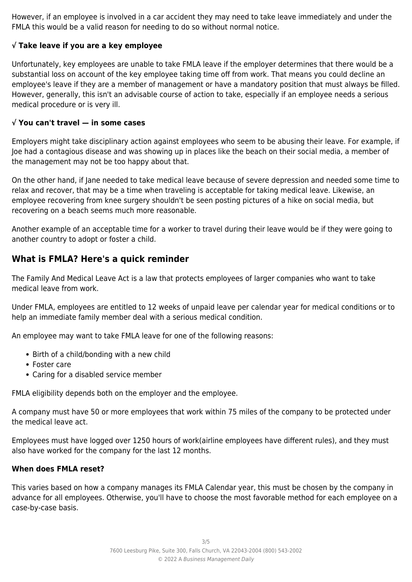However, if an employee is involved in a car accident they may need to take leave immediately and under the FMLA this would be a valid reason for needing to do so without normal notice.

# **√ Take leave if you are a key employee**

Unfortunately, key employees are unable to take FMLA leave if the employer determines that there would be a substantial loss on account of the key employee taking time off from work. That means you could decline an employee's leave if they are a member of management or have a mandatory position that must always be filled. However, generally, this isn't an advisable course of action to take, especially if an employee needs a serious medical procedure or is very ill.

## **√ You can't travel — in some cases**

Employers might take disciplinary action against employees who seem to be abusing their leave. For example, if Joe had a contagious disease and was showing up in places like the beach on their social media, a member of the management may not be too happy about that.

On the other hand, if Jane needed to take medical leave because of severe depression and needed some time to relax and recover, that may be a time when traveling is acceptable for taking medical leave. Likewise, an employee recovering from knee surgery shouldn't be seen posting pictures of a hike on social media, but recovering on a beach seems much more reasonable.

Another example of an acceptable time for a worker to travel during their leave would be if they were going to another country to adopt or foster a child.

# **What is FMLA? Here's a quick reminder**

The Family And Medical Leave Act is a law that protects employees of larger companies who want to take medical leave from work.

Under FMLA, employees are entitled to 12 weeks of unpaid leave per calendar year for medical conditions or to help an immediate family member deal with a serious medical condition.

An employee may want to take FMLA leave for one of the following reasons:

- Birth of a child/bonding with a new child
- Foster care
- Caring for a disabled service member

FMLA eligibility depends both on the employer and the employee.

A company must have 50 or more employees that work within 75 miles of the company to be protected under the medical leave act.

Employees must have logged over 1250 hours of work(airline employees have different rules), and they must also have worked for the company for the last 12 months.

# **When does FMLA reset?**

This varies based on how a company manages its FMLA Calendar year, this must be chosen by the company in advance for all employees. Otherwise, you'll have to choose the most favorable method for each employee on a case-by-case basis.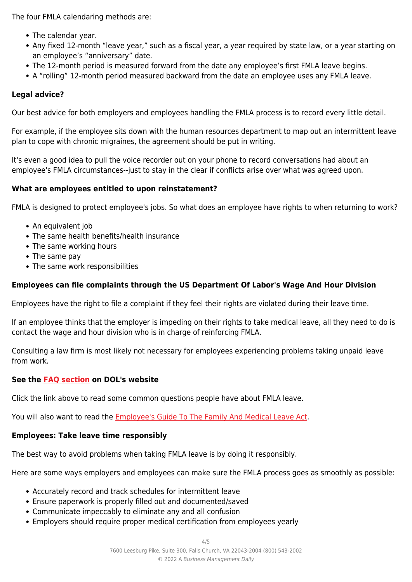The four FMLA calendaring methods are:

- The calendar year.
- Any fixed 12-month "leave year," such as a fiscal year, a year required by state law, or a year starting on an employee's "anniversary" date.
- The 12-month period is measured forward from the date any employee's first FMLA leave begins.
- A "rolling" 12-month period measured backward from the date an employee uses any FMLA leave.

# **Legal advice?**

Our best advice for both employers and employees handling the FMLA process is to record every little detail.

For example, if the employee sits down with the human resources department to map out an intermittent leave plan to cope with chronic migraines, the agreement should be put in writing.

It's even a good idea to pull the voice recorder out on your phone to record conversations had about an employee's FMLA circumstances--just to stay in the clear if conflicts arise over what was agreed upon.

#### **What are employees entitled to upon reinstatement?**

FMLA is designed to protect employee's jobs. So what does an employee have rights to when returning to work?

- An equivalent job
- The same health benefits/health insurance
- The same working hours
- The same pay
- The same work responsibilities

# **Employees can file complaints through the US Department Of Labor's Wage And Hour Division**

Employees have the right to file a complaint if they feel their rights are violated during their leave time.

If an employee thinks that the employer is impeding on their rights to take medical leave, all they need to do is contact the wage and hour division who is in charge of reinforcing FMLA.

Consulting a law firm is most likely not necessary for employees experiencing problems taking unpaid leave from work.

### **See the [FAQ section](https://www.dol.gov/agencies/whd/fmla/faq) on DOL's website**

Click the link above to read some common questions people have about FMLA leave.

You will also want to read the **[Employee's Guide To The Family And Medical Leave Act](https://www.dol.gov/sites/dolgov/files/WHD/legacy/files/employeeguide.pdf)**.

## **Employees: Take leave time responsibly**

The best way to avoid problems when taking FMLA leave is by doing it responsibly.

Here are some ways employers and employees can make sure the FMLA process goes as smoothly as possible:

- Accurately record and track schedules for intermittent leave
- Ensure paperwork is properly filled out and documented/saved
- Communicate impeccably to eliminate any and all confusion
- Employers should require proper medical certification from employees yearly